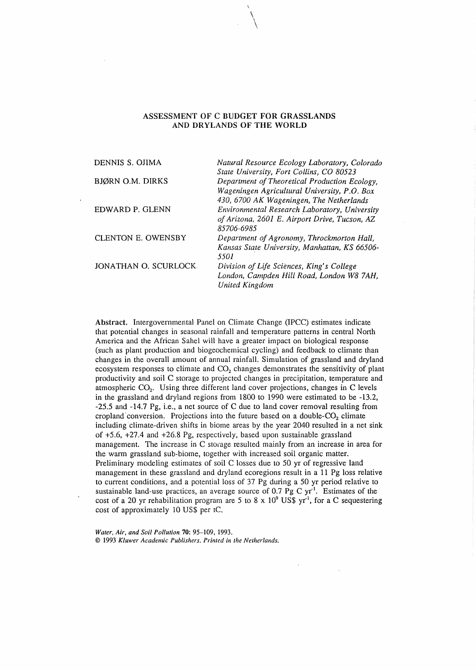#### DENNIS S. OJIMA BJ0RN O.M. DIRKS EDWARD P. GLENN CLENTON E. OWENSBY JONATHAN 0. SCURLOCK. *Natural Resource Ecology Laboratory, Colorado State University, Fort Collins, CO 80523 Department of Theoretical Production Ecology, Wageningen Agricultural University, P.O. Box 430, 6700 AK Wageningen, The Netherlands*   $Environmental Research Laboratory, University$ *of Arizona, 2601 E. Airport Drive, Tucson, AZ 85706-6985 Department of Agronomy, Throckmorton Hall, Kansas State University, Manhattan, KS 66506- 5501* . *Division of Life Sciences, King's College London, Campden Hill Road, London W8 7AH, United Kingdom*

Abstract. Intergovernmental Panel on Climate Change (IPCC) estimates indicate that potential changes in seasonal rainfall and temperature patterns in central North America and the African Sahel will have a greater impact on biological response (such as plant production and biogeochemical cycling) and feedback to climate than changes in the overall amount of annual rainfall. Simulation of grassland and dryland ecosystem responses to climate and  $CO<sub>2</sub>$  changes demonstrates the sensitivity of plant productivity and soil C storage to projected changes in precipitation, temperature and atmospheric CO<sub>2</sub>. Using three different land cover projections, changes in C levels in the grassland and dryland regions from 1800 to 1990 were estimated to be -13.2, -25.5 and -14.7 Pg, i.e., a net source of C due to land cover removal resulting from cropland conversion. Projections into the future based on a double- $CO<sub>2</sub>$  climate including climate-driven shifts in biome areas by the year 2040 resulted in a net sink of +5.6, +27.4 and +26.8 Pg, respectively, based upon sustainable grassland management. The increase in C storage resulted mainly from an increase in area for the warm grassland sub-biome, together with increased soil organic matter. Preliminary modeling estimates of soil C losses due to 50 yr of regressive land management in these grassland and dryland ecoregions result in a 11 Pg loss relative to current conditions, and a potential loss of 37 Pg during a 50 yr period relative to sustainable land-use practices, an average source of 0.7 Pg C  $yr<sup>1</sup>$ . Estimates of the cost of a 20 yr rehabilitation program are 5 to 8 x  $10^9$  US\$ yr<sup>-1</sup>, for a C sequestering cost of approximately 10 US\$ per tC.

*Water, Air, and Soil Pollution* 70: 95-109, 1993. © 1993 *K/uwer Academic Publishers. Printed in the Netherlands.* 

# ASSESSMENT OF C BUDGET FOR GRASSLANDS AND DRYLANDS OF THE WORLD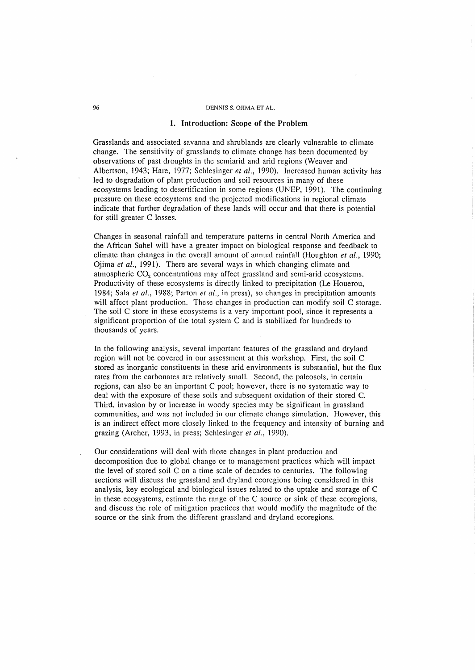### 1. Introduction: Scope of the Problem

Grasslands and associated savanna and shrublands are clearly vulnerable to climate change. The sensitivity of grasslands to climate change has been documented by observations of past droughts in the semiarid and arid regions (Weaver and Albertson, 1943; Hare, 1977; Schlesinger *et al.,* 1990). Increased human activity has led to degradation of plant production and soil resources in many of these ecosystems leading to desertification in some regions (UNEP, 1991). The continuing pressure on these ecosystems and the projected modifications in regional climate indicate that further degradation of these lands will occur and that there is potential for still greater C losses.

Changes in seasonal rainfall and temperature patterns in central North America and the African Sahel will have a greater impact on biological response and feedback to climate than changes in the overall amount of annual rainfall (Houghton *et al.,* 1990; Ojima *et al.*, 1991). There are several ways in which changing climate and atmospheric CO<sub>2</sub> concentrations may affect grassland and semi-arid ecosystems. Productivity of these ecosystems is directly linked to precipitation (Le Houerou, 1984; Sala *et al.*, 1988; Parton *et al.*, in press), so changes in precipitation amounts will affect plant production. These changes in production can modify soil C storage. The soil C store in these ecosystems is a very important pool, since it represents a significant proportion of the total system C and is stabilized for hundreds to thousands of years.

In the following analysis, several important features of the grassland and dryland region will not be covered in our assessment at this workshop. First, the soil C stored as inorganic constituents in these arid environments is substantial, but the flux rates from the carbonates are relatively small. Second, the paleosols, in certain regions, can also be an important C pool; however, there is no systematic way to deal with the exposure of these soils and subsequent oxidation of their stored C. Third, invasion by or increase in woody species may be significant in grassland communities, and was not included in our climate change simulation. However, this is an indirect effect more closely linked to the frequency and intensity of burning and grazing (Archer, 1993, in press; Schlesinger *et al.,* 1990).

Our considerations will deal with those changes in plant production and decomposition due to global change or to management practices which will impact the level of stored soil C on a time scale of decades to centuries. The following sections will discuss the grassland and dryland ecoregions being considered in this analysis, key ecological and biological issues related to the uptake and storage of C in these ecosystems, estimate the range of the C source or sink of these ecoregions, and discuss the role of mitigation practices that would modify the magnitude of the source or the sink from the different grassland and dryland ecoregions.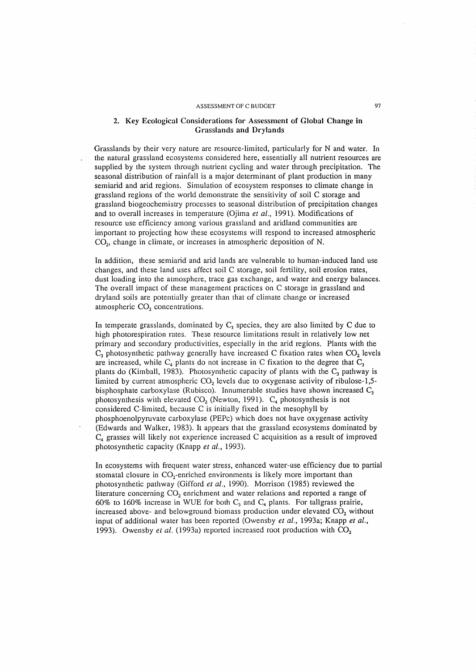## 2. Key Ecological Considerations for Assessment of Global Change in Grasslands and Drylands

Grasslands by their very nature are resource-limited, particularly for N and water. In the natural grassland ecosystems considered here, essentially all nutrient resources are supplied by the system through nutrient cycling and water through precipitation. The seasonal distribution of rainfall is a major determinant of plant production in many semiarid and arid regions. Simulation of ecosystem responses to climate change in grassland regions of the world demonstrate the sensitivity of soil C storage and grassland biogeochemistry processes to seasonal distribution of precipitation changes and to overall increases in temperature (Ojima *et al.,* 1991). Modifications of resource use efficiency among various grassland and aridland communities are important to projecting how these ecosystems will respond to increased atmospheric CO<sub>2</sub>, change in climate, or increases in atmospheric deposition of N.

In addition, these semiarid and arid lands are vulnerable to human-induced land use changes, and these land uses affect soil C storage, soil fertility, soil erosion rates, dust loading into the atmosphere, trace gas exchange, and water and energy balances. The overall impact of these management practices on C storage in grassland and dryland soils are potentially greater than that of climate change or increased atmospheric CO<sub>2</sub> concentrations.

In temperate grasslands, dominated by  $C_3$  species, they are also limited by C due to high photorespiration rates. These resource limitations result in relatively low net primary and secondary productivities, especially in the arid regions. Plants with the  $C_3$  photosynthetic pathway generally have increased C fixation rates when  $CO<sub>2</sub>$  levels are increased, while  $C_4$  plants do not increase in C fixation to the degree that  $C_3$ plants do (Kimball, 1983). Photosynthetic capacity of plants with the  $C_3$  pathway is limited by current atmospheric  $CO<sub>2</sub>$  levels due to oxygenase activity of ribulose-1,5bisphosphate carboxylase (Rubisco). Innumerable studies have shown increased  $C_1$ photosynthesis with elevated  $CO<sub>2</sub>$  (Newton, 1991).  $C<sub>4</sub>$  photosynthesis is not considered C-limited, because C is initially fixed in the mesophyll by phosphoenolpyruvate carboxylase (PEPc) which does not have oxygenase activity (Edwards and Walker, 1983). It appears that the grassland ecosystems dominated by  $C_4$  grasses will likely not experience increased C acquisition as a result of improved photosynthetic capacity (Knapp *et al.,* 1993).

In ecosystems with frequent water stress, enhanced water-use efficiency due to partial stomatal closure in  $CO<sub>2</sub>$ -enriched environments is likely more important than photosynthetic pathway (Gifford *et al.,* 1990). Morrison (1985) reviewed the literature concerning CO<sub>2</sub> enrichment and water relations and reported a range of 60% to 160% increase in WUE for both  $C_3$  and  $C_4$  plants. For tallgrass prairie, increased above- and belowground biomass production under elevated  $CO<sub>2</sub>$  without input of additional water has been reported (Owensby *et al.,* 1993a; Knapp *et al.,*  1993). Owensby *et al.* (1993a) reported increased root production with CO<sub>2</sub>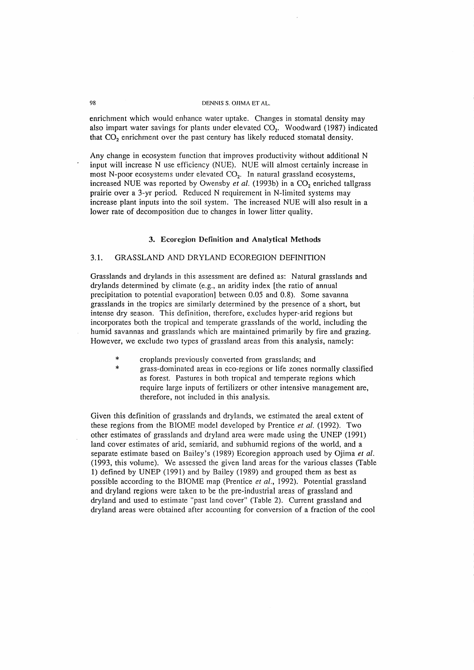enrichment which would enhance water uptake. Changes in stomatal density may also impart water savings for plants under elevated CO<sub>2</sub>. Woodward (1987) indicated that CO<sub>2</sub> enrichment over the past century has likely reduced stomatal density.

Any change in ecosystem function that improves productivity without additional N input will increase N use efficiency (NUE). NUE will almost certainly increase in most N-poor ecosystems under elevated  $CO<sub>2</sub>$ . In natural grassland ecosystems, increased NUE was reported by Owensby *et al.* (1993b) in a CO<sub>2</sub> enriched tallgrass prairie over a 3-yr period. Reduced N requirement in N-limited systems may increase plant inputs into the soil system. The increased NUE will also result in a lower rate of decomposition due to changes in lower litter quality.

# 3. Ecoregion Definition and Analytical Methods

# 3.1. GRASSLAND AND DRYLAND ECOREGION DEFINITION

Grasslands and drylands in this assessment are defined as: Natural grasslands and drylands determined by climate (e.g., an aridity index [the ratio of annual precipitation to potential evaporation] between 0.05 and 0.8). Some savanna grasslands in the tropics are similarly determined by the presence of a short, but intense dry season. This definition, therefore, excludes hyper-arid regions but incorporates both the tropical and temperate grasslands of the world, including the humid savannas and grasslands which are maintained primarily by fire and grazing. However, we exclude two types of grassland areas from this analysis, namely:

- \* croplands previously converted from grasslands; and
- \* grass-dominated areas in eco-regions or life zones normally classified as forest. Pastures in both tropical and temperate regions which require large inputs of fertilizers or other intensive management are, therefore, not included in this analysis.

Given this definition of grasslands and drylands, we estimated the areal extent of these regions from the BlOME model developed by Prentice *et al.* (1992). Two other estimates of grasslands and dryland area were made using the UNEP (1991) land cover estimates of arid, semiarid, and subhumid regions of the world, and a separate estimate based on Bailey's (1989) Ecoregion approach used by Ojima *et al.*  (1993, this volume). We assessed the given land areas for the various classes (Table 1) defined by UNEP (1991) and by Bailey (1989) and grouped them as best as possible according to the BlOME map (Prentice *et al.,* 1992). Potential grassland and dryland regions were taken to be the pre-industrial areas of grassland and dryland and used to estimate "past land cover" (Table 2). Current grassland and dryland areas were obtained after accounting for conversion of a fraction of the cool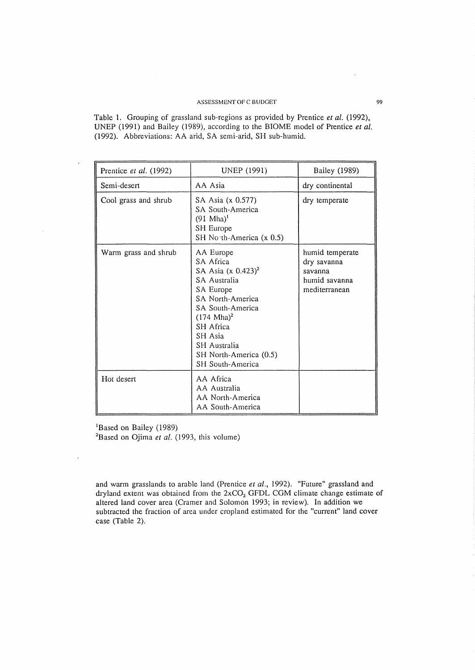Table 1. Grouping of grassland sub-regions as provided by Prentice *et al.* (1992), UNEP (1991) and Bailey (1989), according to the BlOME model of Prentice *et al.*  (1992). Abbreviations: AA arid, SA semi-arid, SH sub-humid.

| Prentice et al. (1992) | <b>UNEP (1991)</b>                                                                                                                                                                                                                    | <b>Bailey</b> (1989)                                                        |
|------------------------|---------------------------------------------------------------------------------------------------------------------------------------------------------------------------------------------------------------------------------------|-----------------------------------------------------------------------------|
| Semi-desert            | AA Asia                                                                                                                                                                                                                               | dry continental                                                             |
| Cool grass and shrub   | SA Asia (x 0.577)<br>SA South-America<br>$(91 \text{ Mha})^1$<br>SH Europe<br>SH No th-America $(x 0.5)$                                                                                                                              | dry temperate                                                               |
| Warm grass and shrub   | AA Europe<br>SA Africa<br>SA Asia $(x \ 0.423)^2$<br>SA Australia<br>SA Europe<br>SA North-America<br>SA South-America<br>$(174 \text{ Mha})^2$<br>SH Africa<br>SH Asia<br>SH Australia<br>SH North-America (0.5)<br>SH South-America | humid temperate<br>dry savanna<br>savanna<br>humid savanna<br>mediterranean |
| Hot desert             | AA Africa<br>AA Australia<br>AA North-America<br>AA South-America                                                                                                                                                                     |                                                                             |

<sup>1</sup>Based on Bailey (1989)

<sup>2</sup>Based on Ojima *et al.* (1993, this volume)

and warm grasslands to arable land (Prentice *et al.,* 1992). "Future" grassland and dryland extent was obtained from the  $2xCO<sub>2</sub>$  GFDL CGM climate change estimate of altered land cover area (Cramer and Solomon 1993; in review). In addition we subtracted the fraction of area under cropland estimated for the "current" land cover case (Table 2).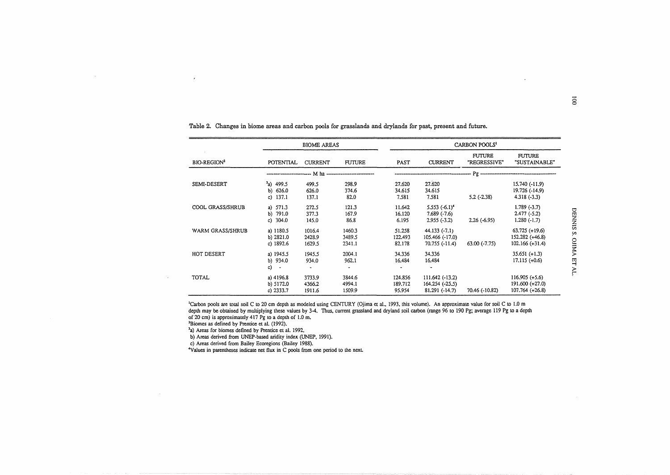|                         | <b>BIOME AREAS</b> |                | CARBON POOLS <sup>1</sup> |         |                   |                               |                                |
|-------------------------|--------------------|----------------|---------------------------|---------|-------------------|-------------------------------|--------------------------------|
| BIO-REGION <sup>2</sup> | POTENTIAL          | <b>CURRENT</b> | <b>FUTURE</b>             | PAST    | <b>CURRENT</b>    | <b>FUTURE</b><br>"REGRESSIVE" | <b>FUTURE</b><br>"SUSTAINABLE" |
|                         |                    |                |                           |         |                   | $ Pg -$                       |                                |
| SEMI-DESERT             | $a$ ) 499.5        | 499.5          | 298.9                     | 27,620  | 27,620            |                               | 15.740 (-11.9)                 |
|                         | b) $626.0$         | 626.0          | 374.6                     | 34.615  | 34.615            |                               | 19.726 (-14.9)                 |
|                         | c) $137.1$         | 137.1          | 82.0                      | 7.581   | 7.581             | $5.2$ (-2.38)                 | $4.318(-3.3)$                  |
| COOL GRASS/SHRUB        | a) 571.3           | 272.5          | 121.3                     | 11.642  | $5.553 (-6.1)^4$  |                               | $1.789(-3.7)$                  |
|                         | b) $791.0$         | 377.3          | 167.9                     | 16.120  | $7.689(-7.6)$     |                               | $2.477(-5.2)$                  |
|                         | c) $304.0$         | 145.0          | 86.8                      | 6.195   | $2.955(-3.2)$     | $2.26( -6.95)$                | $1.280(-1.7)$                  |
| WARM GRASS/SHRUB        | a) 1180.5          | 1016.4         | 1460.3                    | 51.258  | $44,133$ $(-7.1)$ |                               | $63.725 (+19.6)$               |
|                         | b) 2821.0          | 2428.9         | 3489.5                    | 122.493 | 105.466 (-17.0)   |                               | 152.282 (+46.8)                |
|                         | c) 1892.6          | 1629.5         | 2341.1                    | 82.178  | 70.755 (-11.4)    | $63.00(-7.75)$                | $102.166 (+31.4)$              |
| HOT DESERT              | a) 1945.5          | 1945.5         | 2004.1                    | 34.336  | 34.336            |                               | $35.651 (+1.3)$                |
|                         | b) $934.0$         | 934.0          | 962.1                     | 16.484  | 16.484            |                               | $17.115 (+0.6)$                |
|                         | c)<br>$\bullet$    |                |                           |         |                   |                               |                                |
| TOTAL                   | a) 4196.8          | 3733.9         | 3844.6                    | 124.856 | 111.642 (-13.2)   |                               | $116.905 (+5.6)$               |
|                         | b) 5172.0          | 4366.2         | 4994.1                    | 189.712 | 164.254 (-25.5)   |                               | 191.600 (+27.0)                |
|                         | c) 2333.7          | 1911.6         | 1509.9                    | 95.954  | $81.291(-14.7)$   | 70.46 (-10.82)                | 107.764 (+26.8)                |

Table 2. Changes in biome areas and carbon pools for grasslands and drylands for past, present and future.

1 Carbon pools are total soil C to 20 em depth as modeled using CENTURY (Ojima et al., 1993, this volume). An approximate value for soil C to 1.0 m depth may be obtained by multiplying these values by 3-4. Thus, current grassland and dryland soil carbon (range 96 to 190 Pg; average 119 Pg to a depth of 20 cm) is approximately  $417$  Pg to a depth of 1.0 m.

<sup>2</sup>Biomes as defined by Prentice et al. (1992).

 $\lambda$ 

 $\sim$ 

 $\sim 10^{-1}$ 

<sup>3</sup>a) Areas for biomes defined by Prentice et al. 1992.

b) Areas derived from UNEP-based aridity index (UNEP, 1991).

c) Areas derived from Bailey Ecoregions (Bailey 1988).

•values in parentheses indicate net flux inC pools from one period to the next

 $\ddot{\phantom{a}}$ 

DENNIS S'OIINV

~ > r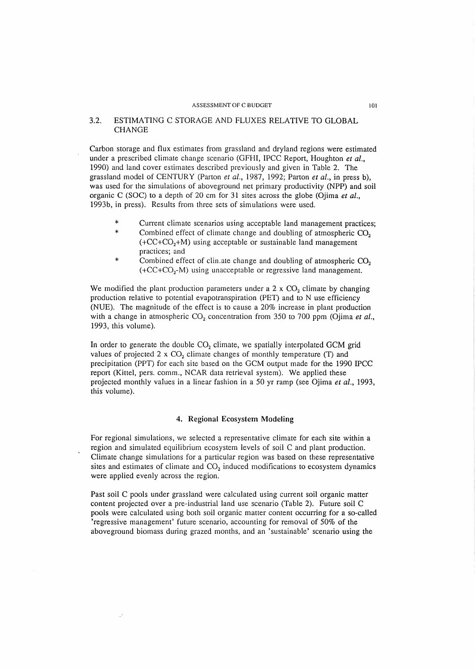## 3.2. ESTIMATING C STORAGE AND FLUXES RELATIVE TO GLOBAL CHANGE

Carbon storage and flux estimates from grassland and dryland regions were estimated under a prescribed climate change scenario (GFHI, IPCC Report, Houghton *et al.,*  1990) and land cover estimates described previously and given in Table 2. The grassland model of CENTURY (Parton *et al.,* 1987, 1992; Parton *et al.,* in press b), was used for the simulations of aboveground net primary productivity (NPP) and soil organic C (SOC) to a depth of 20 em for 31 sites across the globe (Ojima *et al.,*  1993b, in press). Results from three sets of simulations were used.

- \* Current climate scenarios using acceptable land management practices;
- \* Combined effect of climate change and doubling of atmospheric CO<sub>2</sub>  $(+CC+CO<sub>2</sub>+M)$  using acceptable or sustainable land management practices; and
- \* Combined effect of clin.ate change and doubling of atmospheric CO<sub>2</sub>  $(+CC+CO<sub>2</sub>-M)$  using unacceptable or regressive land management.

We modified the plant production parameters under a 2 x  $CO<sub>2</sub>$  climate by changing production relative to potential evapotranspiration (PET) and to N use efficiency (NUE). The magnitude of the effect is to cause a 20% increase in plant production with a change in atmospheric  $CO<sub>2</sub>$  concentration from 350 to 700 ppm (Ojima *et al.*, 1993, this volume).

In order to generate the double  $CO<sub>2</sub>$  climate, we spatially interpolated GCM grid values of projected  $2 \times CO<sub>2</sub>$  climate changes of monthly temperature (T) and precipitation (PPT) for each site based on the GCM output made for the 1990 IPCC report (Kittel, pers. comm., NCAR data retrieval system). We applied these projected monthly values in a linear fashion in a 50 yr ramp (see Ojima *et al.,* 1993, this volume).

## 4. Regional Ecosystem Modeling

For regional simulations, we selected a representative climate for each site within a region and simulated equilibrium ecosystem levels of soil C and plant production. Climate change simulations for a particular region was based on these representative sites and estimates of climate and  $CO<sub>2</sub>$  induced modifications to ecosystem dynamics were applied evenly across the region.

Past soil C pools under grassland were calculated using current soil organic matter content projected over a pre-industrial land use scenario (Table 2). Future soil C pools were calculated using both soil organic matter content occurring for a so-called 'regressive management' future scenario, accounting for removal of 50% of the aboveground biomass during grazed months, and an 'sustainable' scenario using the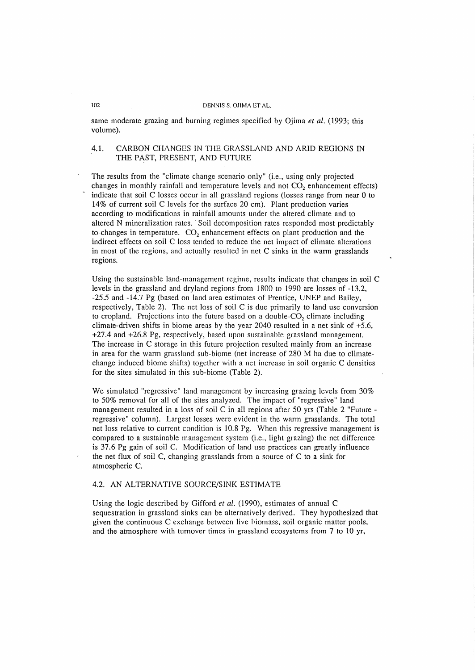same moderate grazing and burning regimes specified by Ojima *et al.* (1993; this volume).

# 4.1. CARBON CHANGES IN THE GRASSLAND AND ARID REGIONS IN THE PAST, PRESENT, AND FUTURE

The results from the "climate change scenario only" (i.e., using only projected changes in monthly rainfall and temperature levels and not  $CO<sub>2</sub>$  enhancement effects) indicate that soil C losses occur in all grassland regions (losses range from near 0 to 14% of current soil C levels for the surface 20 em). Plant production varies according to modifications in rainfall amounts under the altered climate and to altered N mineralization rates. ·Soil decomposition rates responded most predictably to changes in temperature.  $CO<sub>2</sub>$  enhancement effects on plant production and the indirect effects on soil C loss tended to reduce the net impact of climate alterations in most of the regions, and actually resulted in net C sinks in the warm grasslands regions.

Using the sustainable land-management regime, results indicate that changes in soil C levels in the grassland and dryland regions from 1800 to 1990 are losses of -13.2, -25.5 and -14.7 Pg (based on land area estimates of Prentice, UNEP and Bailey, respectively, Table 2). The net loss of soil C is due primarily to land use conversion to cropland. Projections into the future based on a double- $CO<sub>2</sub>$  climate including climate-driven shifts in biome areas by the year 2040 resulted in a net sink of +5.6, +27.4 and +26.8 Pg, respectively, based upon sustainable grassland management. The increase in C storage in this future projection resulted mainly from an increase in area for the warm grassland sub-biome (net increase of 280 M ha due to climatechange induced biome shifts) together with a net increase in soil organic C densities for the sites simulated in this sub-biome (Table 2).

We simulated "regressive" land management by increasing grazing levels from 30% to 50% removal for all of the sites analyzed. The impact of "regressive" land management resulted in a loss of soil C in all regions after 50 yrs (Table 2 "Future regressive" column). Largest losses were evident in the warm grasslands. The total net loss relative to current condition is 10.8 Pg. When this regressive management is compared to a sustainable management system (i.e., light grazing) the net difference is 37.6 Pg gain of soil C. Modification of land use practices can greatly influence the net flux of soil C, changing grasslands from a source of C to a sink for atmospheric C.

## 4.2. AN ALTERNATIVE SOURCE/SINK ESTIMATE

Using the logic described by Gifford *et al.* (1990), estimates of annual C sequestration in grassland sinks can be alternatively derived. They hypothesized that given the continuous C exchange between live biomass, soil organic matter pools, and the atmosphere with turnover times in grassland ecosystems from 7 to 10 yr,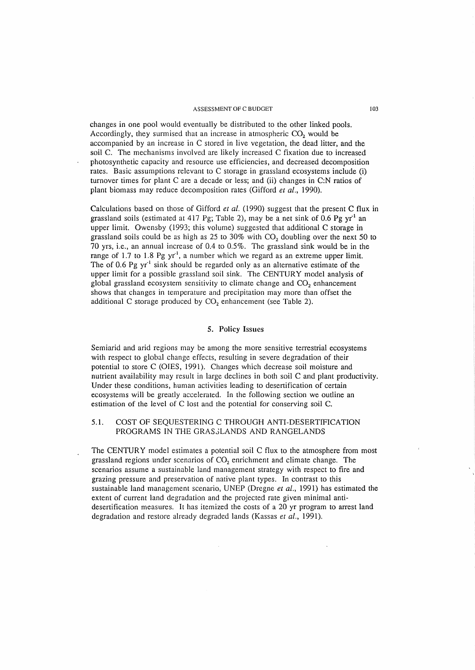changes in one pool would eventually be distributed to the other linked pools. Accordingly, they surmised that an increase in atmospheric  $CO<sub>2</sub>$  would be accompanied by an increase in C stored in live vegetation, the dead litter, and the soil C. The mechanisms involved are likely increased C fixation due to increased photosynthetic capacity and resource use efficiencies, and decreased decomposition rates. Basic assumptions relevant to C storage in grassland ecosystems include (i) turnover times for plant C are a decade or less; and (ii) changes in C:N ratios of plant biomass may reduce decomposition rates (Gifford *et al.,* 1990).

Calculations based on those of Gifford *et al.* (1990) suggest that the present C flux in grassland soils (estimated at 417 Pg; Table 2), may be a net sink of 0.6 Pg  $yr<sup>-1</sup>$  an upper limit. Owensby (1993; this volume) suggested that additional C storage in grassland soils could be as high as 25 to 30% with  $CO<sub>2</sub>$  doubling over the next 50 to 70 yrs, i.e., an annual increase of 0.4 to 0.5%. The grassland sink would be in the range of 1.7 to 1.8 Pg  $yr<sup>-1</sup>$ , a number which we regard as an extreme upper limit. The of 0.6 Pg  $yr<sup>-1</sup>$  sink should be regarded only as an alternative estimate of the upper limit for a possible grassland soil sink. The CENTURY model analysis of global grassland ecosystem sensitivity to climate change and  $CO<sub>2</sub>$  enhancement shows that changes in temperature and precipitation may more than offset the additional C storage produced by  $CO<sub>2</sub>$  enhancement (see Table 2).

# 5. Policy Issues

Semiarid and arid regions may be among the more sensitive terrestrial ecosystems with respect to global change effects, resulting in severe degradation of their potential to store C (OIES, 1991). Changes which decrease soil moisture and nutrient availability may result in large declines in both soil C and plant productivity. Under these conditions, human activities leading to desertification of certain ecosystems will be greatly accelerated. In the following section we outline an estimation of the level of C lost and the potential for conserving soil C.

# 5.1. COST OF SEQUESTERING C THROUGH ANTI-DESERTIFICATION PROGRAMS IN THE GRASJLANDS AND RANGELANDS

The CENTURY model estimates a potential soil C flux to the atmosphere from most grassland regions under scenarios of  $CO<sub>2</sub>$  enrichment and climate change. The scenarios assume a sustainable land management strategy with respect to fire and grazing pressure and preservation of native plant types. In contrast to this sustainable land management scenario, UNEP (Dregne *et al.,* 1991) has estimated the extent of current land degradation and the projected rate given minimal antidesertification measures. It has itemized the costs of a 20 yr program to arrest land degradation and restore already degraded lands (Kassas *et al.,* 1991 ).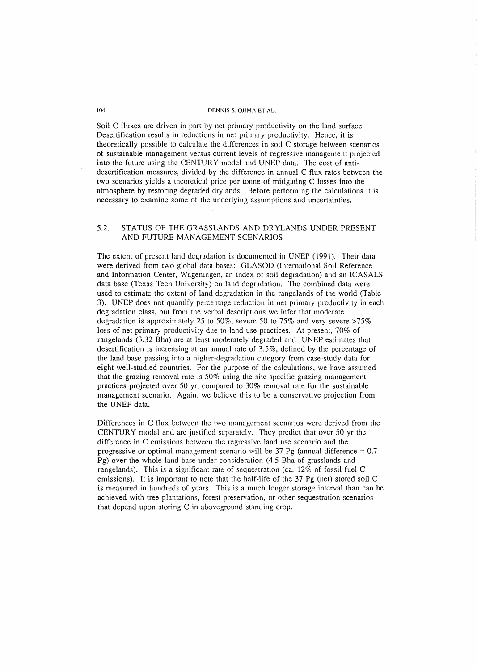Soil C fluxes are driven in part by net primary productivity on the land surface. Desertification results in reductions in net primary productivity. Hence, it is theoretically possible to calculate the differences in soil C storage between scenarios of sustainable management versus current levels of regressive management projected into the future using the CENTURY model and UNEP data. The cost of antidesertification measures, divided by the difference in annual C flux rates between the two scenarios yields a theoretical price per tonne of mitigating C losses into the atmosphere by restoring degraded drylands. Before performing the calculations it is necessary to examine some of the underlying assumptions and uncertainties.

# 5.2. STATUS OF THE GRASSLANDS AND DRYLANDS UNDER PRESENT AND FUTURE MANAGEMENT SCENARIOS

The extent of present land degradation is documented in UNEP (1991). Their data were derived from two global data bases: GLASOD (International Soil Reference and Information Center, Wageningen, an index of soil degradation) and an ICASALS data base (Texas Tech University) on land degradation. The combined data were used to estimate the extent of land degradation in the rangelands of the world (Table 3). UNEP does not quantify percentage reduction in net primary productivity in each degradation class, but from the verbal descriptions we infer that moderate degradation is approximately 25 to 50%, severe 50 to 75% and very severe >75% loss of net primary productivity due to land use practices. At present, 70% of rangelands (3.32 Bha) are at least moderately degraded and UNEP estimates that desertification is increasing at an annual rate of 3.5%, defined by the percentage of the land base passing into a higher-degradation category from case-study data for eight well-studied countries. For the purpose of the calculations, we have assumed that the grazing removal rate is 50% using the site specific grazing management practices projected over 50 yr, compared to 30% removal rate for the sustainable management scenario. Again, we believe this to be a conservative projection from the UNEP data.

Differences in C flux between the two management scenarios were derived from the CENTURY model and are justified separately. They predict that over 50 yr the difference in C emissions between the regressive land use scenario and the progressive or optimal management scenario will be  $37$  Pg (annual difference  $= 0.7$ ) Pg) over the whole land base under consideration (4.5 Bha of grasslands and rangelands). This is a significant rate of sequestration (ca. 12% of fossil fuel C emissions). It is important to note that the half-life of the 37 Pg (net) stored soil C is measured in hundreds of years. This is a much longer storage interval than can be achieved with tree plantations, forest preservation, or other sequestration scenarios that depend upon storing C in aboveground standing crop.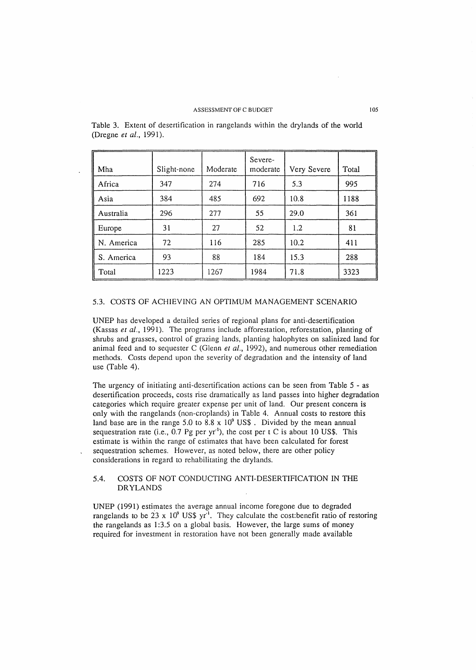| Mha        | Slight-none | Moderate | Severe-<br>moderate | Very Severe | Total |
|------------|-------------|----------|---------------------|-------------|-------|
| Africa     | 347         | 274      | 716                 | 5.3         | 995   |
| Asia       | 384         | 485      | 692                 | 10.8        | 1188  |
| Australia  | 296         | 277      | 55                  | 29.0        | 361   |
| Europe     | 31          | 27       | 52                  | 1.2         | 81    |
| N. America | 72          | 116      | 285                 | 10.2        | 411   |
| S. America | 93          | 88       | 184                 | 15.3        | 288   |
| Total      | 1223        | 1267     | 1984                | 71.8        | 3323  |

Table 3. Extent of desertification in rangelands within the drylands of the world (Dregne *et al.,* 1991).

# 5.3. COSTS OF ACHIEVING AN OPTIMUM MANAGEMENT SCENARIO

UNEP has developed a detailed series of regional plans for anti-desertification (Kassas *et al.*, 1991). The programs include afforestation, reforestation, planting of shrubs and grasses, control of grazing lands, planting halophytes on salinized land for animal feed and to sequester C (Glenn *et al.,* 1992), and numerous other remediation methods. Costs depend upon the severity of degradation and the intensity of land use (Table 4).

The urgency of initiating anti-desertification actions can be seen from Table 5 - as desertification proceeds, costs rise dramatically as land passes into higher degradation categories which require greater expense per unit of land. Our present concern is only with the rangelands (non-croplands) in Table 4. Annual costs to restore this land base are in the range 5.0 to  $8.8 \times 10^9$  US\$. Divided by the mean annual sequestration rate (i.e., 0.7 Pg per yr<sup>1</sup>), the cost per  $t \, C$  is about 10 US\$. This estimate is within the range of estimates that have been calculated for forest sequestration schemes. However, as noted below, there are other policy considerations in regard to rehabilitating the drylands.

# 5.4. COSTS OF NOT CONDUCTING ANTI-DESERTIFICATION IN THE DRYLANDS

UNEP (1991) estimates the average annual income foregone due to degraded rangelands to be 23 x 10<sup>9</sup> US\$ yr<sup>1</sup>. They calculate the cost: benefit ratio of restoring the rangelands as 1:3.5 on a global basis. However, the large sums of money required for investment in restoration have not been generally made available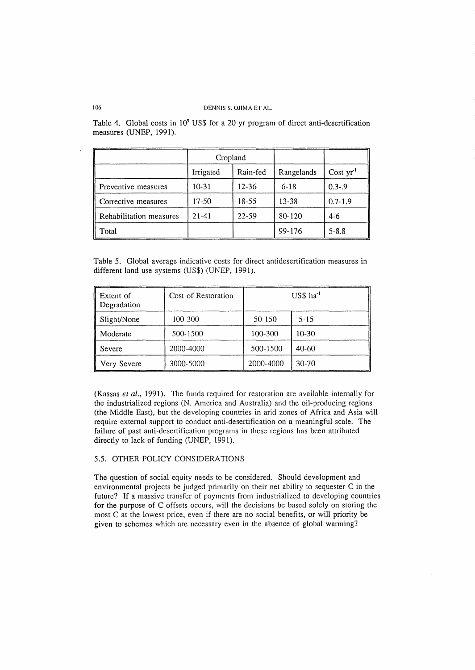|                         | Cropland  |           |            |             |
|-------------------------|-----------|-----------|------------|-------------|
|                         | Irrigated | Rain-fed  | Rangelands | Cost $yr-1$ |
| Preventive measures     | $10-31$   | $12 - 36$ | $6 - 18$   | $0.3 - .9$  |
| Corrective measures     | $17 - 50$ | $18 - 55$ | 13-38      | $0.7 - 1.9$ |
| Rehabilitation measures | $21 - 41$ | 22-59     | 80-120     | $4-6$       |
| Total                   |           |           | 99-176     | $5 - 8.8$   |

Table 4. Global costs in 10<sup>9</sup> US\$ for a 20 yr program of direct anti-desertification measures (UNEP, 1991).

Table 5. Global average indicative costs for direct antidesertification measures in different land use systems (US\$) (UNEP, 1991).

| Extent of<br>Degradation | Cost of Restoration | $US$$ ha <sup>-1</sup> |          |  |
|--------------------------|---------------------|------------------------|----------|--|
| Slight/None              | 100-300             | 50-150                 | $5 - 15$ |  |
| Moderate                 | 500-1500            | 100-300                | $10-30$  |  |
| Severe                   | 2000-4000           | 500-1500               | 40-60    |  |
| Very Severe              | 3000-5000           | 2000-4000              | $30-70$  |  |

(Kassas *et al.,* 1991). The funds required for restoration are available internally for the industrialized regions (N. America and Australia) and the oil-producing regions (the Middle East), but the developing countries in arid zones of Africa and Asia will require external support to conduct anti-desertification on a meaningful scale. The failure of past anti-desertification programs in these regions has been attributed directly to lack of funding (UNEP, 1991).

# 5.5. OTHER POLICY CONSIDERATIONS

The question of social equity needs to be considered. Should development and environmental projects be judged primarily on their net ability to sequester C in the future? If a massive transfer of payments from industrialized to developing countries for the purpose of C offsets occurs, will the decisions be based solely on storing the most C at the lowest price, even if there are no social benefits, or will priority be given to schemes which are necessary even in the absence of global warming?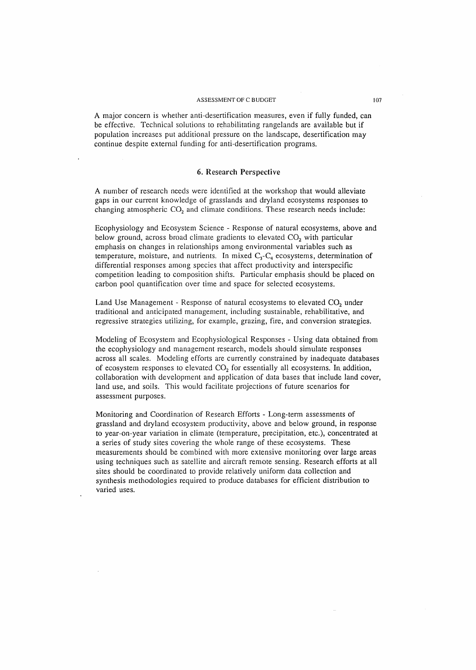A major concern is whether anti-desertification measures, even if fully funded, can be effective. Technical solutions to rehabilitating rangelands are available but if population increases put additional pressure on the landscape, desertification may continue despite external funding for anti-desertification programs.

## 6. Research Perspective

A number of research needs were identified at the workshop that would alleviate gaps in our current knowledge of grasslands and dryland ecosystems responses to changing atmospheric CO<sub>2</sub> and climate conditions. These research needs include:

Ecophysiology and Ecosystem Science - Response of natural ecosystems, above and below ground, across broad climate gradients to elevated  $CO<sub>2</sub>$  with particular emphasis on changes in relationships among environmental variables such as temperature, moisture, and nutrients. In mixed  $C_3 - C_4$  ecosystems, determination of differential responses among species that affect productivity and interspecific competition leading to composition shifts. Particular emphasis should be placed on carbon pool quantification over time and space for selected ecosystems.

Land Use Management - Response of natural ecosystems to elevated  $CO<sub>2</sub>$  under traditional and anticipated management, including sustainable, rehabilitative, and regressive strategies utilizing, for example, grazing, fire, and conversion strategies.

Modeling of Ecosystem and Ecophysiological Responses - Using data obtained from the ecophysiology and management research, models should simulate responses across all scales. Modeling efforts are currently constrained by inadequate databases of ecosystem responses to elevated  $CO<sub>2</sub>$  for essentially all ecosystems. In addition, collaboration with development and application of data bases that include land cover, land use, and soils. This would facilitate projections of future scenarios for assessment purposes.

Monitoring and Coordination of Research Efforts - Long-term assessments of grassland and dryland ecosystem productivity, above and below ground, in response to year-on-year variation in climate (temperature, precipitation, etc.), concentrated at a series of study sites covering the whole range of these ecosystems. These measurements should be combined with more extensive monitoring over large areas using techniques such as satellite and aircraft remote sensing. Research efforts at all sites should be coordinated to provide relatively uniform data collection and synthesis methodologies required to produce databases for efficient distribution to varied uses.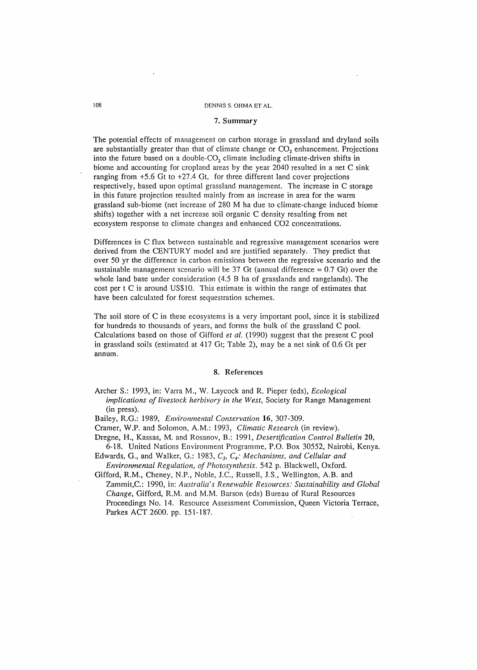## 7. Summary

The potential effects of management on carbon storage in grassland and dryland soils are substantially greater than that of climate change or  $CO<sub>2</sub>$  enhancement. Projections into the future based on a double- $CO<sub>2</sub>$  climate including climate-driven shifts in biome and accounting for cropland areas by the year 2040 resulted in a net C sink ranging from  $+5.6$  Gt to  $+27.4$  Gt, for three different land cover projections respectively, based upon optimal grassland management. The increase in C storage in this future projection resulted mainly from an increase in area for the warm grassland sub-biome (net increase of 280 M ha due to climate-change induced biome shifts) together with a net increase soil organic C density resulting from net ecosystem response to climate changes and enhanced C02 concentrations.

Differences in C flux between sustainable and regressive management scenarios were derived from the CENTURY model and are justified separately. They predict that over 50 yr the difference in carbon emissions between the regressive scenario and the sustainable management scenario will be 37 Gt (annual difference  $= 0.7$  Gt) over the whole land base under consideration (4.5 B ha of grasslands and rangelands). The cost pert Cis around US\$10. This estimate is within the range of estimates that have been calculated for forest sequestration schemes.

The soil store of C in these ecosystems is a very important pool, since it is stabilized for hundreds to thousands of years, and forms the bulk of the grassland C pool. Calculations based on those of Gifford *et al.* (1990) suggest that the present C pool in grassland soils (estimated at 417 Gt; Table 2), may be a net sink of 0.6 Gt per annum.

## 8. References

- Archer S.: 1993, in: Yarra M., W. Laycock and R. Pieper (eds), *Ecological implications of livestock herbivory in the West,* Society for Range Management (in press).
- Bailey, R.G.: 1989, *Environmental Conservation* 16, 307-309.
- Cramer, W.P. and Solomon, A.M.: 1993, *Climatic Research* (in review).
- Dregne, H., Kassas, M. and Rosanov, B.: 1991, *Desertification Control Bulletin* 20,
- 6-18. United Nations Environment Programme, P.O. Box 30552, Nairobi, Kenya. Edwards, G., and Walker, G.: 1983, *C3, C4 : Mechanisms, and Cellular and*
- *Environmental Regulation, of Photosynthesis.* 542 p. Blackwell, Oxford.

Gifford, R.M., Cheney, N.P., Noble, J.C., Russell, J.S., Wellington, A.B. and Zammit,C.: 1990, in: *Australia's Renewable Resources: Sustainability and Global Change,* Gifford, R.M. and M.M. Barson (eds) Bureau of Rural Resources Proceedings No. 14. Resource Assessment Commission, Queen Victoria Terrace, Parkes ACT 2600. pp. 151-187.